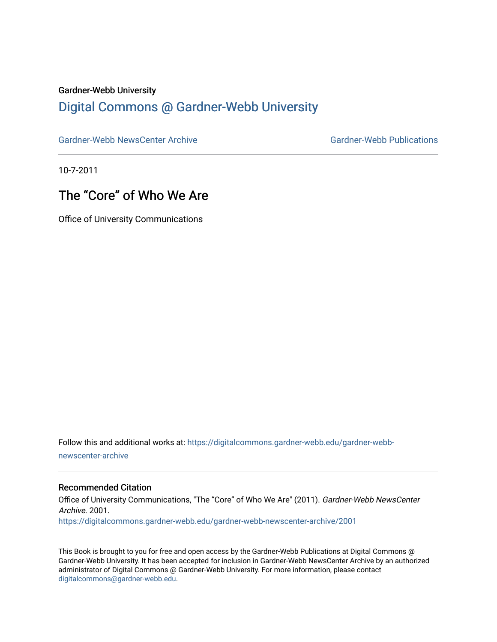#### Gardner-Webb University

### [Digital Commons @ Gardner-Webb University](https://digitalcommons.gardner-webb.edu/)

[Gardner-Webb NewsCenter Archive](https://digitalcommons.gardner-webb.edu/gardner-webb-newscenter-archive) Gardner-Webb Publications

10-7-2011

## The "Core" of Who We Are

Office of University Communications

Follow this and additional works at: [https://digitalcommons.gardner-webb.edu/gardner-webb](https://digitalcommons.gardner-webb.edu/gardner-webb-newscenter-archive?utm_source=digitalcommons.gardner-webb.edu%2Fgardner-webb-newscenter-archive%2F2001&utm_medium=PDF&utm_campaign=PDFCoverPages)[newscenter-archive](https://digitalcommons.gardner-webb.edu/gardner-webb-newscenter-archive?utm_source=digitalcommons.gardner-webb.edu%2Fgardner-webb-newscenter-archive%2F2001&utm_medium=PDF&utm_campaign=PDFCoverPages)

### Recommended Citation

Office of University Communications, "The "Core" of Who We Are" (2011). Gardner-Webb NewsCenter Archive. 2001. [https://digitalcommons.gardner-webb.edu/gardner-webb-newscenter-archive/2001](https://digitalcommons.gardner-webb.edu/gardner-webb-newscenter-archive/2001?utm_source=digitalcommons.gardner-webb.edu%2Fgardner-webb-newscenter-archive%2F2001&utm_medium=PDF&utm_campaign=PDFCoverPages) 

This Book is brought to you for free and open access by the Gardner-Webb Publications at Digital Commons @ Gardner-Webb University. It has been accepted for inclusion in Gardner-Webb NewsCenter Archive by an authorized administrator of Digital Commons @ Gardner-Webb University. For more information, please contact [digitalcommons@gardner-webb.edu](mailto:digitalcommons@gardner-webb.edu).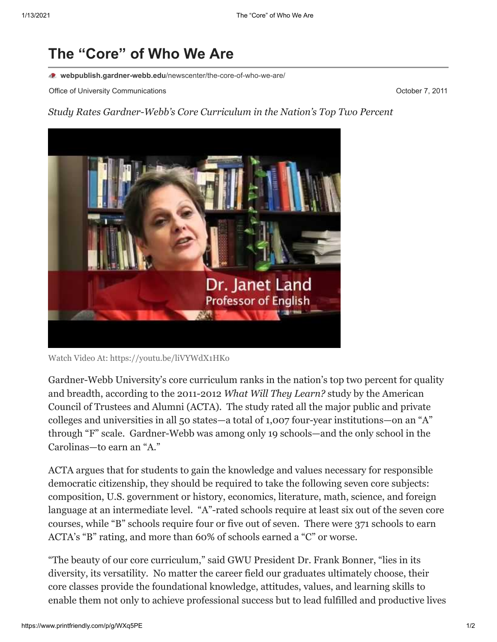# **The "Core" of Who We Are**

**webpublish.gardner-webb.edu**[/newscenter/the-core-of-who-we-are/](https://webpublish.gardner-webb.edu/newscenter/the-core-of-who-we-are/)

Office of University Communications **October 7, 2011 October 7, 2011** 

*Study Rates Gardner-Webb's Core Curriculum in the Nation's Top Two Percent*



Watch Video [At: https://youtu.be/liVYWdX1HKo](https://youtu.be/liVYWdX1HKo)

Gardner-Webb University's core curriculum ranks in the nation's top two percent for quality and breadth, according to the 2011-2012 *What Will They Learn?* study by the American Council of Trustees and Alumni (ACTA). The study rated all the major public and private colleges and universities in all 50 states—a total of 1,007 four-year institutions—on an "A" through "F" scale. Gardner-Webb was among only 19 schools—and the only school in the Carolinas—to earn an "A."

ACTA argues that for students to gain the knowledge and values necessary for responsible democratic citizenship, they should be required to take the following seven core subjects: composition, U.S. government or history, economics, literature, math, science, and foreign language at an intermediate level. "A"-rated schools require at least six out of the seven core courses, while "B" schools require four or five out of seven. There were 371 schools to earn ACTA's "B" rating, and more than 60% of schools earned a "C" or worse.

"The beauty of our core curriculum," said GWU President Dr. Frank Bonner, "lies in its diversity, its versatility. No matter the career field our graduates ultimately choose, their core classes provide the foundational knowledge, attitudes, values, and learning skills to enable them not only to achieve professional success but to lead fulfilled and productive lives